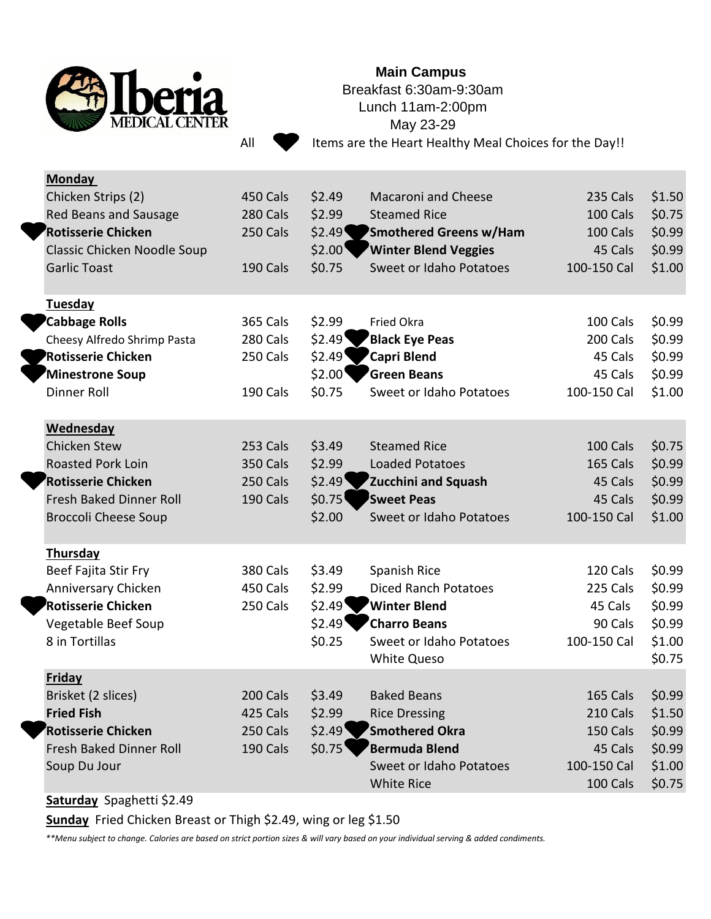

## **Main Campus**

Breakfast 6:30am-9:30am Lunch 11am-2:00pm May 23-29

All Items are the Heart Healthy Meal Choices for the Day!!

| <b>Monday</b>                           |                 |                   |                                         |                     |                  |
|-----------------------------------------|-----------------|-------------------|-----------------------------------------|---------------------|------------------|
| Chicken Strips (2)                      | 450 Cals        | \$2.49            | <b>Macaroni and Cheese</b>              | 235 Cals            | \$1.50           |
| Red Beans and Sausage                   | 280 Cals        | \$2.99            | <b>Steamed Rice</b>                     | 100 Cals            | \$0.75           |
| Rotisserie Chicken                      | 250 Cals        | \$2.49            | <b>Smothered Greens w/Ham</b>           | 100 Cals            | \$0.99           |
| Classic Chicken Noodle Soup             |                 | \$2.00            | <b>Winter Blend Veggies</b>             | 45 Cals             | \$0.99           |
| <b>Garlic Toast</b>                     | 190 Cals        | \$0.75            | Sweet or Idaho Potatoes                 | 100-150 Cal         | \$1.00           |
| Tuesday                                 |                 |                   |                                         |                     |                  |
| <b>Cabbage Rolls</b>                    | <b>365 Cals</b> | \$2.99            | Fried Okra                              | 100 Cals            | \$0.99           |
| Cheesy Alfredo Shrimp Pasta             | 280 Cals        | \$2.49"           | Black Eye Peas                          | 200 Cals            | \$0.99           |
| <b>Rotisserie Chicken</b>               | 250 Cals        | \$2.49            | 'Capri Blend                            | 45 Cals             | \$0.99           |
| Minestrone Soup                         |                 | \$2.00"           | <b>Green Beans</b>                      | 45 Cals             | \$0.99           |
| Dinner Roll                             | 190 Cals        | \$0.75            | Sweet or Idaho Potatoes                 | 100-150 Cal         | \$1.00           |
| Wednesday                               |                 |                   |                                         |                     |                  |
| <b>Chicken Stew</b>                     | 253 Cals        | \$3.49            | <b>Steamed Rice</b>                     | 100 Cals            | \$0.75           |
| <b>Roasted Pork Loin</b>                | <b>350 Cals</b> | \$2.99            | <b>Loaded Potatoes</b>                  | <b>165 Cals</b>     | \$0.99           |
| Rotisserie Chicken                      | 250 Cals        | \$2.49            | Zucchini and Squash                     | 45 Cals             | \$0.99           |
| <b>Fresh Baked Dinner Roll</b>          | 190 Cals        | \$0.75            | Sweet Peas                              | 45 Cals             | \$0.99           |
| <b>Broccoli Cheese Soup</b>             |                 | \$2.00            | <b>Sweet or Idaho Potatoes</b>          | 100-150 Cal         | \$1.00           |
| <b>Thursday</b>                         |                 |                   |                                         |                     |                  |
| Beef Fajita Stir Fry                    | <b>380 Cals</b> | \$3.49            | Spanish Rice                            | 120 Cals            | \$0.99           |
| Anniversary Chicken                     | 450 Cals        | \$2.99            | <b>Diced Ranch Potatoes</b>             | 225 Cals            | \$0.99           |
| Rotisserie Chicken                      | 250 Cals        | \$2.49"           | Winter Blend                            | 45 Cals             | \$0.99           |
| Vegetable Beef Soup                     |                 | \$2.49"           | 'Charro Beans                           | 90 Cals             | \$0.99           |
| 8 in Tortillas                          |                 | \$0.25            | Sweet or Idaho Potatoes                 | 100-150 Cal         | \$1.00           |
|                                         |                 |                   | <b>White Queso</b>                      |                     | \$0.75           |
| <b>Friday</b>                           |                 |                   |                                         |                     |                  |
| Brisket (2 slices)                      | 200 Cals        | \$3.49            | <b>Baked Beans</b>                      | 165 Cals            | \$0.99           |
| <b>Fried Fish</b><br>Rotisserie Chicken | 425 Cals        | \$2.99            | <b>Rice Dressing</b><br>'Smothered Okra | 210 Cals            | \$1.50           |
| Fresh Baked Dinner Roll                 | 250 Cals        | \$2.49"<br>\$0.75 | Bermuda Blend                           | 150 Cals<br>45 Cals | \$0.99           |
| Soup Du Jour                            | 190 Cals        |                   | Sweet or Idaho Potatoes                 | 100-150 Cal         | \$0.99<br>\$1.00 |
|                                         |                 |                   | <b>White Rice</b>                       | 100 Cals            | \$0.75           |
|                                         |                 |                   |                                         |                     |                  |

## **Saturday** Spaghetti \$2.49

**Sunday** Fried Chicken Breast or Thigh \$2.49, wing or leg \$1.50

*\*\*Menu subject to change. Calories are based on strict portion sizes & will vary based on your individual serving & added condiments.*